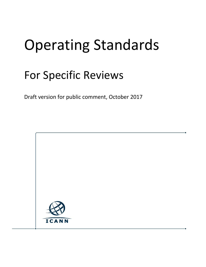# Operating Standards

## For Specific Reviews

Draft version for public comment, October 2017

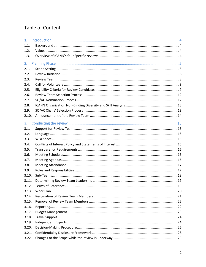## Table of Content

| 1 <sub>1</sub> |  |
|----------------|--|
| 1.1.           |  |
| 1.2.           |  |
| 1.3.           |  |
| 2.             |  |
| 2.1.           |  |
| 2.2.           |  |
| 2.3.           |  |
| 2.4.           |  |
| 2.5.           |  |
| 2.6.           |  |
| 2.7.           |  |
| 2.8.           |  |
| 2.9.           |  |
| 2.10.          |  |
| 3.             |  |
| 3.1.           |  |
| 3.2.           |  |
| 3.3.           |  |
| 3.4.           |  |
| 3.5.           |  |
| 3.6.           |  |
| 3.7.           |  |
| 3.8.           |  |
| 3.9.           |  |
| 3.10.          |  |
| 3.11.          |  |
| 3.12.          |  |
| 3.13.          |  |
| 3.14.          |  |
| 3.15.          |  |
| 3.16.          |  |
| 3.17.          |  |
| 3.18.          |  |
| 3.19.          |  |
| 3.20.          |  |
| 3.21.          |  |
| 3.22.          |  |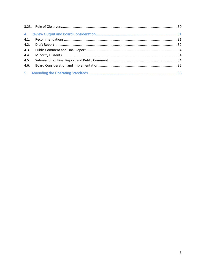| 4.1. |  |
|------|--|
|      |  |
|      |  |
| 4.4. |  |
| 4.5. |  |
|      |  |
|      |  |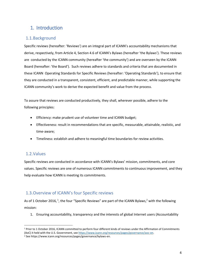## <span id="page-3-0"></span>1. Introduction

## <span id="page-3-1"></span>1.1.Background

Specific [reviews](https://www.icann.org/resources/reviews/aoc) (hereafter: 'Reviews') are an integral part of ICANN's accountability mechanisms that derive, respectively, from Article 4, Section 4.6 of ICANN's Bylaws (hereafter 'the Bylaws'). These reviews are conducted by the ICANN community (hereafter 'the community') and are overseen by the ICANN Board (hereafter: 'the Board'). Such reviews adhere to standards and criteria that are documented in these ICANN Operating Standards for Specific Reviews (hereafter: 'Operating Standards'), to ensure that they are conducted in a transparent, consistent, efficient, and predictable manner, while supporting the ICANN community's work to derive the expected benefit and value from the process.

To assure that reviews are conducted productively, they shall, wherever possible, adhere to the following principles:

- Efficiency: make prudent use of volunteer time and ICANN budget;
- Effectiveness: result in recommendations that are specific, measurable, attainable, realistic, and time-aware;
- Timeliness: establish and adhere to meaningful time boundaries for review activities.

## <span id="page-3-2"></span>1.2.Values

 $\overline{\phantom{a}}$ 

Specific reviews are conducted in accordance with ICANN's Bylaws' mission, commitments, and core values. Specific reviews are one of numerous ICANN commitments to continuous improvement, and they help evaluate how ICANN is meeting its commitments.

## <span id="page-3-3"></span>1.3.Overview of ICANN's four Specific reviews

As of 1 October 2016, <sup>1</sup>, the four "Specific Reviews" are part of the ICANN Bylaws,<sup>2</sup> with the following mission:

1. Ensuring accountability, transparency and the interests of global Internet users (Accountability

<sup>1</sup> Prior to 1 October 2016, ICANN committed to perform four different kinds of reviews under the Affirmation of Commitments (AoC) it held with the U.S. Government, se[e https://www.icann.org/resources/pages/governance/aoc-en.](https://www.icann.org/resources/pages/governance/aoc-en)

<sup>2</sup> See https://www.icann.org/resources/pages/governance/bylaws-en.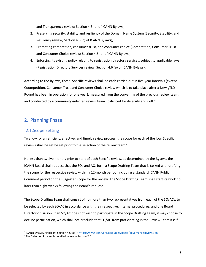and Transparency review; Section 4.6 (b) of ICANN Bylaws);

- 2. Preserving security, stability and resiliency of the Domain Name System (Security, Stability, and Resiliency review; Section 4.6 (c) of ICANN Bylaws);
- 3. Promoting competition, consumer trust, and consumer choice (Competition, Consumer Trust and Consumer Choice review; Section 4.6 (d) of ICANN Bylaws).
- 4. Enforcing its existing policy relating to registration directory services, subject to applicable laws (Registration Directory Services review; Section 4.6 (e) of ICANN Bylaws);

According to the Bylaws, these Specific reviews shall be each carried out in five-year intervals (except Coompetition, Consumer Trust and Consumer Choice review which is to take place after a New gTLD Round has been in operation for one year), measured from the convening of the previous review team, and conducted by a community-selected review team "balanced for diversity and skill."<sup>3</sup>

## <span id="page-4-0"></span>2. Planning Phase

## <span id="page-4-1"></span>2.1.Scope Setting

To allow for an efficient, effective, and timely review process, the scope for each of the four Specific reviews shall be set be set prior to the selection of the review team.<sup>4</sup>

No less than twelve months prior to start of each Specific review, as determined by the Bylaws, the ICANN Board shall request that the SOs and ACs form a Scope Drafting Team that is tasked with drafting the scope for the respective review within a 12-month period, including a standard ICANN Public Comment period on the suggested scope for the review. The Scope Drafting Team shall start its work no later than eight weeks following the Board's request.

The Scope Drafting Team shall consist of no more than two representatives from each of the SO/ACs, to be selected by each SO/AC in accordance with their respective, internal procedures, and one Board Director or Liaison. If an SO/AC does not wish to participate in the Scope Drafting Team, it may choose to decline participation, which shall not preclude that SO/AC from participating in the Review Team itself.

a<br>ICANN Bylaws, Article IV, Section 4.6 (a)(i)[; https://www.icann.org/resources/pages/governance/bylaws-en.](https://www.icann.org/resources/pages/governance/bylaws-en)

<sup>4</sup> The Selection Process is detailed below in Section [2.6.](#page-11-0)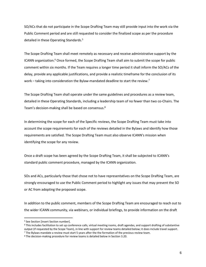SO/ACs that do not participate in the Scope Drafting Team may still provide input into the work via the Public Comment period and are still requested to consider the finalized scope as per the procedure detailed in these Operating Standards.<sup>5</sup>

The Scope Drafting Team shall meet remotely as necessary and receive administrative support by the ICANN organization.<sup>6</sup> Once formed, the Scope Drafting Team shall aim to submit the scope for public comment within six months. If the Team requires a longer time period it shall inform the SO/ACs of the delay, provide any applicable justifications, and provide a realistic timeframe for the conclusion of its work – taking into consideration the Bylaw-mandated deadline to start the review.<sup>7</sup>

The Scope Drafting Team shall operate under the same guidelines and procedures as a review team, detailed in these Operating Standards, including a leadership team of no fewer than two co-Chairs. The Team's decision-making shall be based on consensus.<sup>8</sup>

In determining the scope for each of the Specific reviews, the Scope Drafting Team must take into account the scope requirements for each of the reviews detailed in the Bylaws and identify how those requirements are satisfied. The Scope Drafting Team must also observe ICANN's mission when identifying the scope for any review.

Once a draft scope has been agreed by the Scope Drafting Team, it shall be subjected to ICANN's standard public comment procedure, managed by the ICANN organization.

SOs and ACs, particularly those that chose not to have representatives on the Scope Drafting Team, are strongly encouraged to use the Public Comment period to highlight any issues that may prevent the SO or AC from adopting the proposed scope.

In addition to the public comment, members of the Scope Drafting Team are encouraged to reach out to the wider ICANN community, via webinars, or individual briefings, to provide information on the draft

 $\overline{a}$ 

<sup>5</sup> See Section [insert Section number].

 $6$  This includes facilitation to set up conference calls, virtual meeting rooms, draft agendas, and support drafting of substantive output (if requested by the Scope Team), in line with support for review teams detailed below; it does include travel support. <sup>7</sup> The Bylaws mandate a review must start 5 years after the the formation of the previous review team.

<sup>8</sup> The decision-making procedure for review teams is detailed below in Section [3.20.](#page-25-0)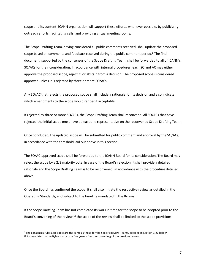scope and its content. ICANN organization will support these efforts, whenever possible, by publicizing outreach efforts, facilitating calls, and providing virtual meeting rooms.

The Scope Drafting Team, having considered all public comments received, shall update the proposed scope based on comments and feedback received during the public comment period.<sup>9</sup> The final document, supported by the consensus of the Scope Drafting Team, shall be forwarded to all of ICANN's SO/ACs for their consideration. In accordance with internal procedures, each SO and AC may either approve the proposed scope, reject it, or abstain from a decision. The proposed scope is considered approved unless it is rejected by three or more SO/ACs.

Any SO/AC that rejects the proposed scope shall include a rationale for its decision and also indicate which amendments to the scope would render it acceptable.

If rejected by three or more SO/ACs, the Scope Drafting Team shall reconvene. All SO/ACs that have rejected the initial scope must have at least one representative on the reconvened Scope Drafting Team.

Once concluded, the updated scope will be submitted for public comment and approval by the SO/ACs, in accordance with the threshold laid out above in this section.

The SO/AC-approved scope shall be forwarded to the ICANN Board for its consideration. The Board may reject the scope by a 2/3 majority vote. In case of the Board's rejection, it shall provide a detailed rationale and the Scope Drafting Team is to be reconvened, in accordance with the procedure detailed above.

Once the Board has confirmed the scope, it shall also initiate the respective review as detailed in the Operating Standards, and subject to the timeline mandated in the Bylaws.

If the Scope Darfting Team has not completed its work in time for the scope to be adopted prior to the Board's convening of the review,<sup>10</sup> the scope of the review shall be limited to the scope provisions

 $\overline{a}$ 

<sup>9</sup> The consensus rules applicable are the same as those for the Specific review Teams, detailed in Sectio[n 3.20](#page-25-0) below.  $10$  As mandated by the Bylaws to occure five years after the conveninig of the previous review.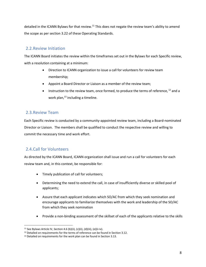detailed in the ICANN Bylaws for that review.<sup>11</sup> This does not negate the review team's ability to amend the scope as per section [3.22](#page-28-0) of these Operating Standards.

## <span id="page-7-0"></span>2.2.Review Initiation

The ICANN Board initiates the review within the timeframes set out in the Bylaws for each Specific review, with a resolution containing at a minimum:

- Direction to ICANN organization to issue a call for volunteers for review team membership;
- Appoint a Board Director or Liaison as a member of the review team;
- Instruction to the review team, once formed, to produce the terms of reference,  $^{12}$  and a work plan, <sup>13</sup> including a timeline.

## <span id="page-7-1"></span>2.3.Review Team

Each Specific review is conducted by a community-appointed review team, including a Board-nominated Director or Liaison. The members shall be qualified to conduct the respective review and willing to commit the necessary time and work effort.

## <span id="page-7-2"></span>2.4.Call for Volunteers

 $\overline{\phantom{a}}$ 

As directed by the ICANN Board, ICANN organization shall issue and run a call for volunteers for each review team and, in this context, be responsible for:

- Timely publication of call for volunteers;
- Determining the need to extend the call, in case of insufficiently diverse or skilled pool of applicants;
- Assure that each applicant indicates which SO/AC from which they seek nomination and encourage applicants to familiarize themselves with the work and leadership of the SO/AC from which they seek nomination
- Provide a non-binding assessment of the skillset of each of the applicants relative to the skills

<sup>11</sup> See Bylaws Article IV, Section 4.6 (b)(ii), (c)(ii), (d)(iii), (e)(ii-iv).

<sup>&</sup>lt;sup>12</sup> Detailed on requirements for the terms of reference can be found in Sectio[n 3.12.](#page-18-1)

<sup>&</sup>lt;sup>13</sup> Detailed on requirements for the work plan can be found in Section [3.13.](#page-19-0)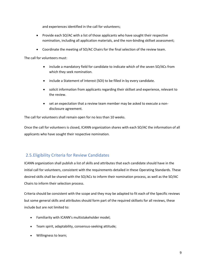and experiences identified in the call for volunteers;

- Provide each SO/AC with a list of those applicants who have sought their respective nomination, including all application materials, and the non-binding skillset assessment;
- Coordinate the meeting of SO/AC Chairs for the final selection of the review team.

The call for volunteers must:

- include a mandatory field for candidate to indicate which of the seven SO/ACs from which they seek nomination.
- include a Statement of Interest (SOI) to be filled in by every candidate.
- solicit information from applicants regarding their skillset and experience, relevant to the review.
- set an expectation that a review team member may be asked to execute a nondisclosure agreement.

The call for volunteers shall remain open for no less than 10 weeks.

Once the call for volunteers is closed, ICANN organization shares with each SO/AC the information of all applicants who have sought their respective nomination.

## <span id="page-8-0"></span>2.5.Eligibility Criteria for Review Candidates

ICANN organization shall publish a list of skills and attributes that each candidate should have in the initial call for volunteers, consistent with the requirements detailed in these Operating Standards. These desired skills shall be shared with the SO/ACs to inform their nomination process, as well as the SO/AC Chairs to inform their selection process.

Criteria should be consistent with the scope and they may be adapted to fit each of the Specific reviews but some general skills and attributes should form part of the required skillsets for all reviews, these include but are not limited to:

- Familiarity with ICANN's multistakeholder model;
- Team spirit, adaptability, consensus-seeking attitude;
- Willingness to learn;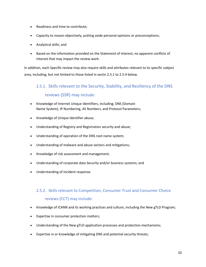- Readiness and time to contribute;
- Capacity to reason objectively, putting aside personal opinions or preconceptions;
- Analytical skills; and
- Based on the information provided on the Statement of Interest, no apparent conflicts of interest that may impact the review work.

In addition, each Specific review may also require skills and attributes relevant to its specific subject area, including, but not limited to those listed in sectin [2.5.1](#page-9-0) to [2.5.4](#page-10-0) below.

## <span id="page-9-0"></span>2.5.1. Skills relevant to the Security, Stability, and Resiliency of the DNS

## reviews (SSR) may include:

- Knowledge of Internet Unique Identifiers, including; DNS (Domain Name System), IP Numbering, AS Numbers, and Protocol Parameters;
- Knowledge of Unique Identifier abuse;
- Understanding of Registry and Registration security and abuse;
- Understanding of operation of the DNS root name system;
- Understanding of malware and abuse vectors and mitigations;
- Knowledge of risk assessment and management;
- Understanding of corporate data Security and/or business systems; and
- Understanding of Incident response.

## 2.5.2. Skills relevant to Competition, Consumer Trust and Consumer Choice reviews (CCT) may include:

- Knowledge of ICANN and its working practices and culture, including the New gTLD Program;
- Expertise in consumer protection matters;
- Understanding of the New gTLD application processes and protection mechanisms;
- Expertise in or knowledge of mitigating DNS and potential security threats;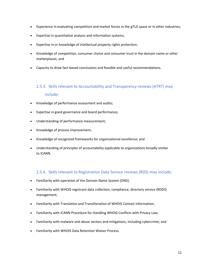- Experience in evaluating competition and market forces in the gTLD space or in other industries;
- Expertise in quantitative analysis and information systems;
- Expertise in or knowledge of intellectual property rights protection;
- Knowledge of competition, consumer choice and consumer trust in the domain name or other marketplaces; and
- Capacity to draw fact-based conclusions and feasible and useful recommendations.

## 2.5.3. Skills relevant to Accountability and Transparency reviews (ATRT) may include:

- Knowledge of performance assessment and audits;
- Expertise in good governance and board performance;
- Understanding of performance measurement;
- Knowledge of process improvement;
- Knowledge of recognized frameworks for organizational excellence; and
- Understanding of principles of accountability applicable to organizations broadly similar to ICANN.

#### 2.5.4. Skills relevant to Registration Data Service reviews (RDS) may include:

- <span id="page-10-0"></span>• Familiarity with operation of the Domain Name System (DNS);
- Familiarity with WHOIS registrant data collection, compliance, directory service (RDDS) management;
- Familiarity with Translation and Transliteration of WHOIS Contact Information;
- Familiarity with ICANN Procedure for Handling WHOIS Conflicts with Privacy Law;
- Familiarity with malware and abuse vectors and mitigations, including cybercrime; and
- Familiarity with WHOIS Data Retention Waiver Process.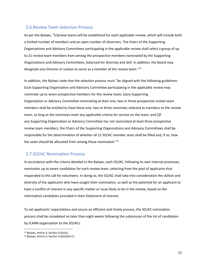## <span id="page-11-0"></span>2.6.Review Team Selection Process

As per the Bylaws, "[r]eview teams will be established for each applicable review, which will include both a limited number of members and an open number of observers. The chairs of the Supporting Organizations and Advisory Committees participating in the applicable review shall select a group of up to 21 review team members from among the prospective members nominated by the Supporting Organizations and Advisory Committees, balanced for diversity and skill. In addition, the Board may designate one Director or Liaison to serve as a member of the review team."<sup>14</sup>

In addition, the Bylaws state that the selection process must "be aligned with the following guidelines: Each Supporting Organization and Advisory Committee participating in the applicable review may nominate up to seven prospective members for the review team; [a]ny Supporting Organization or Advisory Committee nominating at least one, two or three prospective review team members shall be entitled to have those one, two or three nominees selected as members to the review team, so long as the nominees meet any applicable criteria for service on the team; and [i]f any Supporting Organization or Advisory Committee has not nominated at least three prospective review team members, the Chairs of the Supporting Organizations and Advisory Committees shall be responsible for the determination of whether all 21 SO/AC member seats shall be filled and, if so, how the seats should be allocated from among those nominated."<sup>15</sup>

## <span id="page-11-1"></span>2.7.SO/AC Nomination Process

In accordance with the criteria detailed in the Bylaws, each SO/AC, following its own internal processes, nominates up to seven candidates for each review team, selecting from the pool of applicants that responded to the call for volunteers. In doing so, the SO/AC shall take into consideration the skillset and diversity of the applicants who have sought their nomination, as well as the potential for an applicant to have a conflict of interest in any specific matter or issue likely to be in the review, based on the information candidates provided in their Statement of Interest.

To set applicants' expectations and assure an efficient and timely process, the SO/AC nomination process shall be completed no later than eight weeks following the submission of the list of candidates by ICANN organization to the SO/ACs.

 $\overline{a}$ 

<sup>14</sup> Bylaws, Article 4, Section 4.6(a)(i).

<sup>15</sup> Bylaws, Article 4, Section 4.6(a)(i)(A-C).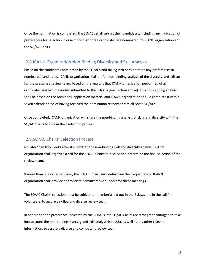Once the nomination is completed, the SO/ACs shall submit their candidates, including any indication of preferences for selection in case more than three candidates are nominated, to ICANN organization and the SO/AC Chairs.

## <span id="page-12-0"></span>2.8.ICANN Organization Non-Binding Diversity and Skill Analysis

Based on the candidates nominated by the SO/ACs and taking into consideration any preferences in nominated candidates, ICANN organization shall draft a non-binding analysis of the diversity and skillset for the presumed review team, based on the analysis that ICANN organization performed of all candidates and had previously submitted to the SO/ACs (see Section above). This non-binding analysis shall be based on the nominees' application material and ICANN organization should complete it within seven calendar days of having received the nomination response from all seven SO/ACs.

Once completed, ICANN organization will share the non-binding analysis of skills and diversity with the SO/AC Chairs to inform their selection process.

## <span id="page-12-1"></span>2.9.SO/AC Chairs' Selection Process

No later than two weeks after it submitted the non-binding skill and diversity analysis, ICANN organization shall organize a call for the SO/AC Chairs to discuss and determine the final selection of the review team.

If more than one call is required, the SO/AC Chairs shall determine the frequency and ICANN organization shall provide appropriate administrative support for these meetings.

The SO/AC Chairs' selection must be subject to the criteria laid out in the Bylaws and in the call for volunteers, to assure a skilled and diverse review team.

In addition to the preference indicated by the SO/ACs, the SO/AC Chairs are strongly encouraged to take into account the non-binding diversity and skill analysis (see [2.8\)](#page-12-0), as well as any other relevant information, to assure a diverse and competent review team.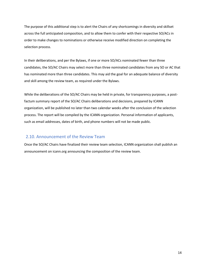The purpose of this additional step is to alert the Chairs of any shortcomings in diversity and skillset across the full anticipated composition, and to allow them to confer with their respective SO/ACs in order to make changes to nominations or otherwise receive modified direction on completing the selection process.

In their deliberations, and per the Bylaws, if one or more SO/ACs nominated fewer than three candidates, the SO/AC Chairs may select more than three nominated candidates from any SO or AC that has nominated more than three candidates. This may aid the goal for an adequate balance of diversity and skill among the review team, as required under the Bylaws.

While the deliberations of the SO/AC Chairs may be held in private, for transparency purposes, a postfactum summary report of the SO/AC Chairs deliberations and decisions, prepared by ICANN organization, will be published no later than two calendar weeks after the conclusion of the selection process. The report will be compiled by the ICANN organization. Personal information of applicants, such as email addresses, dates of birth, and phone numbers will not be made public.

## <span id="page-13-0"></span>2.10. Announcement of the Review Team

Once the SO/AC Chairs have finalized their review team selection, ICANN organization shall publish an announcement on icann.org announcing the composition of the review team.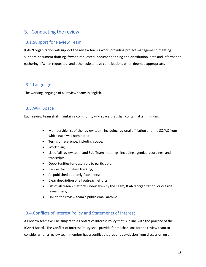## <span id="page-14-0"></span>3. Conducting the review

## <span id="page-14-1"></span>3.1.Support for Review Team

ICANN organization will support the review team's work, providing project management, meeting support, document drafting if/when requested, document editing and distribution, data and information gathering if/when requested, and other substantive contributions when deemed appropriate.

## <span id="page-14-2"></span>3.2.Language

The working language of all review teams is English.

## <span id="page-14-3"></span>3.3.Wiki Space

Each review team shall maintain a community wiki space that shall contain at a minimum:

- Membership list of the review team, including regional affiliation and the SO/AC from which each was nominated;
- Terms of reference, including scope;
- Work plan;
- List of all review team and Sub-Team meetings, including agenda, recordings, and transcripts;
- Opportunities for observers to participate;
- Request/action item tracking;
- All published quarterly factsheets;
- Clear description of all outreach efforts;
- List of all research efforts undertaken by the Team, ICANN organization, or outside researchers;
- Link to the review team's public email archive.

## <span id="page-14-4"></span>3.4.Conflicts of Interest Policy and Statements of Interest

All review teams will be subject to a Conflict of Interest Policy that is in line with the practice of the ICANN Board. The Conflict of Interest Policy shall provide for mechanisms for the review team to consider when a review team member has a conflict that requires exclusion from discussion on a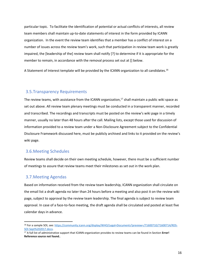particular topic. To facilitate the identification of potential or actual conflicts of interests, all review team members shall maintain up-to-date statements of interest in the form provided by ICANN organization. In the event the review team identifies that a member has a conflict of interest on a number of issues across the review team's work, such that participation in review team work is greatly impaired, the [leadership of the] review team shall notify [?] to determine if it is appropriate for the member to remain, in accordance with the removal process set out at [] below.

A Statement of Interest template will be provided by the ICANN organization to all candidates.<sup>16</sup>

#### <span id="page-15-0"></span>3.5.Transparency Requirements

The review teams, with assistance from the ICANN organization, $17$  shall maintain a public wiki space as set out above. All review team plenary meetings must be conducted in a transparent manner, recorded and transcribed. The recordings and transcripts must be posted on the review's wiki page in a timely manner, usually no later than 48 hours after the call. Mailing lists, except those used for discussion of information provided to a review team under a Non-Disclosure Agreement subject to the Confidential Disclosure Framework discussed here, must be publicly archived and links to it provided on the review's wiki page.

#### <span id="page-15-1"></span>3.6.Meeting Schedules

Review teams shall decide on their own meeting schedule, however, there must be a sufficient number of meetings to assure that review teams meet their milestones as set out in the work plan.

#### <span id="page-15-2"></span>3.7.Meeting Agendas

 $\overline{\phantom{a}}$ 

Based on information received from the review team leadership, ICANN organization shall circulate on the email list a draft agenda no later than 24 hours before a meeting and also post it on the review wiki page, subject to approval by the review team leadership. The final agenda is subject to review team approval. In case of a face-to-face meeting, the draft agenda shall be circulated and posted at least five calendar days in advance.

<sup>16</sup> For a sample SOI, see[: https://community.icann.org/display/WHO/Legal+Documents?preview=/71600710/71600714/RDS-](https://community.icann.org/display/WHO/Legal+Documents?preview=/71600710/71600714/RDS-SOI-Sept%202017.docx)[SOI-Sept%202017.docx.](https://community.icann.org/display/WHO/Legal+Documents?preview=/71600710/71600714/RDS-SOI-Sept%202017.docx) 

<sup>17</sup> A full list of administrative support that ICANN organization provides to review teams can be found in Section **Error! Reference source not found.**.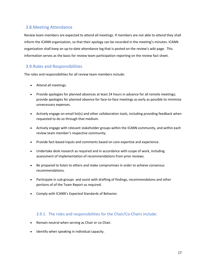## <span id="page-16-0"></span>3.8.Meeting Attendance

Review team members are expected to attend all meetings. If members are not able to attend they shall inform the ICANN organization, so that their apology can be recorded in the meeting's minutes. ICANN organization shall keep an up-to-date attendance log that is posted on the review's wiki page. This information serves as the basis for review team participation reporting on the review fact sheet.

## <span id="page-16-1"></span>3.9.Roles and Responsibilities

The roles and responsibilities for all review team members include:

- Attend all meetings.
- Provide apologies for planned absences at least 24 hours in advance for all remote meetings; provide apologies for planned absence for face-to-face meetings as early as possible to minimize unnecessary expenses.
- Actively engage on email list(s) and other collaboration tools, including providing feedback when requested to do so through that medium.
- Actively engage with relevant stakeholder groups within the ICANN community, and within each review team member's respective community.
- Provide fact-based inputs and comments based on core expertise and experience.
- Undertake desk research as required and in accordance with scope of work, including assessment of implementation of recommendations from prior reviews.
- Be prepared to listen to others and make compromises in order to achieve consensus recommendations.
- Participate in sub-groups and assist with drafting of findings, recommendatons and other portions of of the Team Report as required.
- Comply with ICANN's Expected Standards of Behavior.

## 3.9.1. The roles and responsibilities for the Chair/Co-Chairs include:

- Remain neutral when serving as Chair or co-Chair.
- Identify when speaking in individual capacity.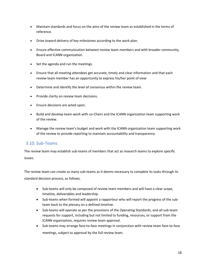- Maintain standards and focus on the aims of the review team as established in the terms of reference.
- Drive toward delivery of key milestones according to the work plan.
- Ensure effective communication between review team members and with broader community, Board and ICANN organization.
- Set the agenda and run the meetings.
- Ensure that all meeting attendees get accurate, timely and clear information and that each review team member has an opportunity to express his/her point of view
- Determine and identify the level of consensus within the review team.
- Provide clarity on review team decisions.
- Ensure decisions are acted upon.
- Build and develop team-work with co-Chairs and the ICANN organization team supporting work of the review.
- Manage the review team's budget and work with the ICANN organization team supporting work of the review to provide reporting to maintain accountability and transparency.

## <span id="page-17-0"></span>3.10. Sub-Teams

The review team may establish sub-teams of members that act as research teams to explore specific issues.

The review team can create as many sub-teams as it deems necessary to complete its tasks through its standard decision process, as follows.

- Sub-teams will only be composed of review team members and will have a clear scope, timeline, deliverables and leadership.
- Sub-teams when formed will appoint a rapporteur who will report the progress of the subteam back to the plenary on a defined timeline.
- Sub-teams will operate as per the provisions of the Operating Standards, and all sub-team requests for support, including but not limited to funding, resources, or support from the ICANN organization, requires review team approval.
- Sub-teams may arrange face-to-face meetings in conjunction with review team face-to-face meetings, subject to approval by the full review team.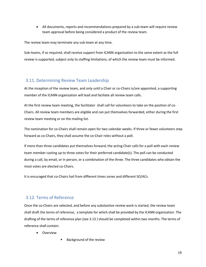• All documents, reports and recommendations prepared by a sub-team will require review team approval before being considered a product of the review team.

The review team may terminate any sub-team at any time.

Sub-teams, if so required, shall receive support from ICANN organization to the same extent as the full review is supported, subject only to staffing limitations, of which the review team must be informed.

## <span id="page-18-0"></span>3.11. Determining Review Team Leadership

At the inception of the review team, and only until a Chair or co-Chairs is/are appointed, a supporting member of the ICANN organization will lead and faciliate all review team calls.

At the first review team meeting, the facilitator shall call for volunteers to take on the position of co-Chairs. All review team members are eligible and can put themselves forwarded, either during the first review team meeting or on the mailing list.

The nomination for co-Chairs shall remain open for two calendar weeks. If three or fewer volunteers step forward as co-Chairs, they shall assume the co-Chair roles without a poll.

If more than three candidates put themselves forward, the acting Chair calls for a poll with each review team member casting up to three votes for their preferred candidate(s). The poll can be conducted during a call, by email, or in person, or a combination of the three. The three candidates who obtain the most votes are elected co-Chairs.

It is encuraged that co-Chairs hail from different times zones and different SO/ACs.

## <span id="page-18-1"></span>3.12. Terms of Reference

Once the co-Chairs are selected, and before any substantive review work is started, the review team shall draft the terms of reference, a template for which shall be provided by the ICANN organization. The drafting of the terms of reference plan (se[e 3.13](#page-19-0) ) should be completed within two months. The terms of reference shall contain:

- Overview
- Background of the review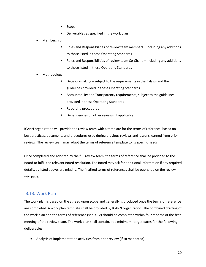- **Scope**
- Deliverables as specified in the work plan
- Membership
	- Roles and Responsibilities of review team members including any additions to those listed in these Operating Standards
	- Roles and Responsibilities of review team Co-Chairs including any additions to those listed in these Operating Standards
- Methodology
	- Decision-making subject to the requirements in the Bylaws and the guidelines provided in these Operating Standards
	- Accountability and Transparency requirements, subject to the guidelines provided in these Operating Standards
	- Reporting procedures
	- Dependencies on other reviews, if applicable

ICANN organization will provide the review team with a template for the terms of reference, based on best practices, documents and procedures used during previous reviews and lessons learned from prior reviews. The review team may adapt the terms of reference template to its specific needs.

Once completed and adopted by the full review team, the terms of reference shall be provided to the Board to fulfill the relevant Board resolution. The Board may ask for additional information if any required details, as listed above, are missing. The finalized terms of references shall be published on the review wiki page.

## <span id="page-19-0"></span>3.13. Work Plan

The work plan is based on the agreed upon scope and generally is produced once the terms of reference are completed. A work plan template shall be provided by ICANN organization. The combined drafting of the work plan and the terms of reference (see [3.12\)](#page-18-1) should be completed within four months of the first meeting of the review team. The work plan shall contain, at a minimum, target dates for the following deliverables:

• Analysis of implementation activities from prior review (if so mandated)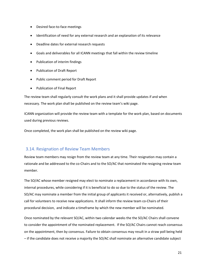- Desired face-to-face meetings
- Identification of need for any external research and an explanation of its relevance
- Deadline dates for external research requests
- Goals and deliverables for all ICANN meetings that fall within the review timeline
- Publication of interim findings
- Publication of Draft Report
- Public comment period for Draft Report
- Publication of Final Report

The review team shall regularly consult the work plans and it shall provide updates if and when necessary. The work plan shall be published on the review team's wiki page.

ICANN organization will provide the review team with a template for the work plan, based on documents used during previous reviews.

Once completed, the work plan shall be published on the review wiki page.

## <span id="page-20-0"></span>3.14. Resignation of Review Team Members

Review team members may resign from the review team at any time. Their resignation may contain a rationale and be addressed to the co-Chairs and to the SO/AC that nominated the resigning review team member.

The SO/AC whose member resigned may elect to nominate a replacement in accordance with its own, internal procedures, while considering if it is beneficial to do so due to the status of the review. The SO/AC may nominate a member from the initial group of applicants it received or, alternatively, publish a call for volunteers to receive new applications. It shall inform the review team co-Chairs of their procedural decision, and indicate a timeframe by which the new member will be nominated.

Once nominated by the relevant SO/AC, within two calendar weeks the the SO/AC Chairs shall convene to consider the appointment of the nominated replacement. If the SO/AC Chairs cannot reach consensus on the appointment, then by consensus. Failure to obtain consensus may result in a straw poll being held – if the candidate does not receive a majority the SO/AC shall nominate an alternative candidate subject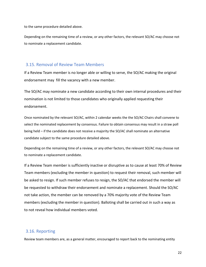to the same procedure detailed above.

Depending on the remaining time of a review, or any other factors, the relevant SO/AC may choose not to nominate a replacement candidate.

#### <span id="page-21-0"></span>3.15. Removal of Review Team Members

If a Review Team member is no longer able or willing to serve, the SO/AC making the original endorsement may fill the vacancy with a new member.

The SO/AC may nominate a new candidate according to their own internal procedures and their nomination is not limited to those candidates who originally applied requesting their endorsement.

Once nominated by the relevant SO/AC, within 2 calendar weeks the the SO/AC Chairs shall convene to select the nominated replacement by consensus. Failure to obtain consensus may result in a straw poll being held – if the candidate does not receive a majority the SO/AC shall nominate an alternative candidate subject to the same procedure detailed above.

Depending on the remaining time of a review, or any other factors, the relevant SO/AC may choose not to nominate a replacement candidate.

If a Review Team member is sufficiently inactive or disruptive as to cause at least 70% of Review Team members (excluding the member in question) to request their removal, such member will be asked to resign. If such member refuses to resign, the SO/AC that endorsed the member will be requested to withdraw their endorsement and nominate a replacement. Should the SO/AC not take action, the member can be removed by a 70% majority vote of the Review Team members (excluding the member in question). Balloting shall be carried out in such a way as to not reveal how individual members voted.

## <span id="page-21-1"></span>3.16. Reporting

Review team members are, as a general matter, encouraged to report back to the nominating entity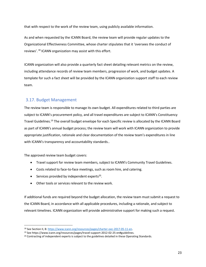that with respect to the work of the review team, using publicly available information.

As and when requested by the ICANN Board, the review team will provide regular updates to the Organizational Effectiveness Committee, whose charter stipulates that it 'oversees the conduct of reviews'.<sup>18</sup> ICANN organization may assist with this effort.

ICANN organization will also provide a quarterly fact sheet detailing relevant metrics on the review, including attendance records of review team members, progression of work, and budget updates. A template for such a fact sheet will be provided by the ICANN organization support staff to each review team.

## <span id="page-22-0"></span>3.17. Budget Management

The review team is responsible to manage its own budget. All expenditures related to third parties are subject to ICANN's procurement policy, and all travel expenditures are subject to ICANN's Constituency Travel Guidelines.<sup>19</sup> The overall budget envelope for each Specific review is allocated by the ICANN Board as part of ICANN's annual budget process; the review team will work with ICANN organization to provide appropriate justification, rationale and clear documentation of the review team's expenditures in line with ICANN's transparency and accountability standards..

The approved review team budget covers:

 $\overline{\phantom{a}}$ 

- Travel support for review team members, subject to ICANN's Community Travel Guidelines.
- Costs related to face-to-face meetings, such as room hire, and catering.
- **•** Services provided by independent experts<sup>20</sup>.
- Other tools or services relevant to the review work.

If additional funds are required beyond the budget allocation, the review team must submit a request to the ICANN Board, in accordance with all applicable procedures, including a rationale, and subject to relevant timelines. ICANN organization will provide administrative support for making such a request.

<sup>18</sup> See Section II, B[: https://www.icann.org/resources/pages/charter-oec-2017-05-11-en.](https://www.icann.org/resources/pages/charter-oec-2017-05-11-en) 

<sup>19</sup> See https://www.icann.org/resources/pages/travel-support-2012-02-25-en#guidelines.

<sup>&</sup>lt;sup>20</sup> Contracting of independent experts is subject to the guidelines detailed in these Operating Standards.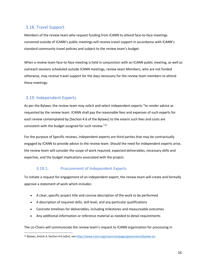## <span id="page-23-0"></span>3.18. Travel Support

Members of the review team who request funding from ICANN to attend face-to-face meetings convened outside of ICANN's public meetings will receive travel support in accordance with ICANN's standard community travel policies and subject to the review team's budget.

When a review team face-to-face meeting is held in conjunction with an ICANN public meeting, as well as outreach sessions scheduled outside ICANN meetings, review team Members, who are not funded otherwise, may receive travel support for the days necessary for the review team members to attend these meetings.

## <span id="page-23-1"></span>3.19. Independent Experts

As per the Bylaws, the review team may solicit and select independent experts "to render advice as requested by the review team. ICANN shall pay the reasonable fees and expenses of such experts for each review contemplated by [Section 4.6 of the Bylaws] to the extent such fees and costs are consistent with the budget assigned for such review."<sup>21</sup>

For the purpose of Specific reviews, independent experts are third parties that may be contractually engaged by ICANN to provide advice to the review team. Should the need for independent experts arise, the review team will consider the scope of work required, expected deliverables, necessary skills and expertise, and the budget implications associated with the project.

## 3.19.1. Procurement of Independent Experts

To initiate a request for engagement of an independent expert, the review team will create and formally approve a statement of work which includes:

- A clear, specific project title and concise description of the work to be performed
- A description of required skills, skill level, and any particular qualifications
- Concrete timelines for deliverables, including milestones and measureable outcomes
- Any additional information or reference material as needed to detail requirements

The co-Chairs will communicate the review team's request to ICANN organization for processing in

 $\overline{\phantom{a}}$ <sup>21</sup> Bylaws, Article 4, Section 4.6 (a)(iv), see https://www.icann.org/resources/pages/governance/bylaws-en.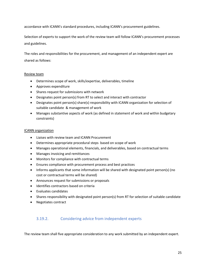accordance with ICANN's standard procedures, including ICANN's procurement guidelines.

Selection of experts to support the work of the review team will follow ICANN's procurement processes and guidelines.

The roles and responsibilities for the procurement, and management of an independent expert are shared as follows:

#### Review team

- Determines scope of work, skills/expertise, deliverables, timeline
- Approves expenditure
- Shares request for submissions with network
- Designates point person(s) from RT to select and interact with contractor
- Designates point person(s) share(s) responsibility with ICANN organization for selection of suitable candidate & management of work
- Manages substantive aspects of work (as defined in statement of work and within budgetary constraints)

#### ICANN organization

- Liaises with review team and ICANN Procurement
- Determines appropriate procedural steps based on scope of work
- Manages operational elements, financials, and deliverables, based on contractual terms
- Manages invoicing and remittances
- Monitors for compliance with contractual terms
- Ensures compliance with procurement process and best practices
- Informs applicants that some information will be shared with designated point person(s) (no cost or contractual terms will be shared)
- Announces request for submissions or proposals
- Identifies contractors based on criteria
- Evaluates candidates
- Shares responsibility with designated point person(s) from RT for selection of suitable candidate
- Negotiates contract

## 3.19.2. Considering advice from independent experts

The review team shall five appropriate consideration to any work submitted by an independent expert.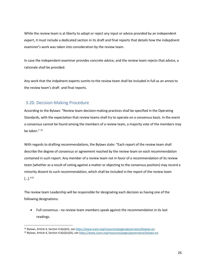While the review team is at liberty to adopt or reject any input or advice provided by an independent expert, it must include a dedicated section in its draft and final reports that details how the indepdnent examiner's work was taken into consideration by the review team.

In case the independent examiner provides concrete advice, and the review team rejects that advice, a rationale shall be provided.

Any work that the indpdnent experts sumits to the review team shall be included in full as an annex to the review team's draft and final reports.

## <span id="page-25-0"></span>3.20. Decision-Making Procedure

 $\overline{\phantom{a}}$ 

According to the Bylaws: "Review team decision-making practices shall be specified in the Operating Standards, with the expectation that review teams shall try to operate on a consensus basis. In the event a consensus cannot be found among the members of a review team, a majority vote of the members may be taken." <sup>22</sup>

With regards to drafting recommendations, the Bylaws state: "Each report of the review team shall describe the degree of consensus or agreement reached by the review team on each recommendation contained in such report. Any member of a review team not in favor of a recommendation of its review team (whether as a result of voting against a matter or objecting to the consensus position) may record a minority dissent to such recommendation, which shall be included in the report of the review team  $[\ldots] \rule{0pt}{1.1ex} \rule{0pt}{2ex}''^{23}$ 

The review team Leadership will be responsible for designating each decision as having one of the following designations:

• Full consensus - no review team members speak against the recommendation in its last readings.

<sup>22</sup> Bylaws, Article 4, Section 4.6(a)(iii), see [https://www.icann.org/resources/pages/governance/bylaws-en.](https://www.icann.org/resources/pages/governance/bylaws-en) 

<sup>&</sup>lt;sup>23</sup> Bylaws, Article 4, Section 4.6(a)(iv)(A), se[e https://www.icann.org/resources/pages/governance/bylaws-en.](https://www.icann.org/resources/pages/governance/bylaws-en)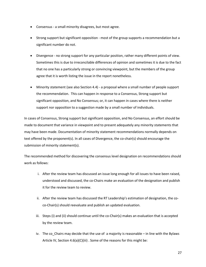- Consensus a small minority disagrees, but most agree.
- Strong support but significant opposition most of the group supports a recommendation but a significant number do not.
- Divergence no strong support for any particular position, rather many different points of view. Sometimes this is due to irreconcilable differences of opinion and sometimes it is due to the fact that no one has a particularly strong or convincing viewpoint, but the members of the group agree that it is worth listing the issue in the report nonetheless.
- Minority statement (see also Sectio[n 4.4\)](#page-33-1) a proposal where a small number of people support the recommendation. This can happen in response to a Consensus, Strong support but significant opposition, and No Consensus; or, it can happen in cases where there is neither support nor opposition to a suggestion made by a small number of individuals.

In cases of Consensus, Strong support but significant opposition, and No Consensus, an effort should be made to document that variance in viewpoint and to present adequately any minority statements that may have been made. Documentation of minority statement recommendations normally depends on text offered by the proponent(s). In all cases of Divergence, the co-chair(s) should encourage the submission of minority statement(s).

The recommended method for discovering the consensus level designation on recommendations should work as follows:

- i. After the review team has discussed an issue long enough for all issues to have been raised, understood and discussed, the co-Chairs make an evaluation of the designation and publish it for the review team to review.
- ii. After the review team has discussed the RT Leadership's estimation of designation, the coco-Chair(s) should reevaluate and publish an updated evaluation.
- iii. Steps (i) and (ii) should continue until the co-Chair(s) makes an evaluation that is accepted by the review team.
- iv. The co\_Chairs may decide that the use of a majority is reasonable in line with the Bylaws Article IV, Section 4.6(a)(C)(iii). Some of the reasons for this might be:

27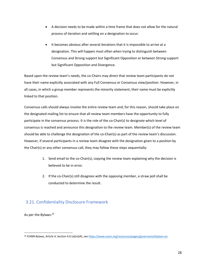- A decision needs to be made within a time frame that does not allow for the natural process of iteration and settling on a designation to occur.
- It becomes obvious after several iterations that it is impossible to arrive at a designation. This will happen most often when trying to distinguish between Consensus and Strong support but Significant Opposition or between Strong support but Significant Opposition and Divergence.

Based upon the review team's needs, the co-Chairs may direct that review team participants do not have their name explicitly associated with any Full Consensus or Consensus view/position. However, in all cases, in which a group member represents the minority statement, their name must be explicitly linked to that position.

Consensus calls should always involve the entire review team and, for this reason, should take place on the designated mailing list to ensure that all review team members have the opportunity to fully participate in the consensus process. It is the role of the co-Chair(s) to designate which level of consensus is reached and announce this designation to the review team. Member(s) of the review team should be able to challenge the designation of the co-Chair(s) as part of the review team's discussion. However, if several participants in a review team disagree with the designation given to a position by the Chair(s) or any other consensus call, they may follow these steps sequentially:

- 1. Send email to the co-Chair(s), copying the review team explaining why the decision is believed to be in error.
- 2. If the co-Chair(s) still disagrees with the opposing member, a straw poll shall be conducted to determine the result.

## <span id="page-27-0"></span>3.21. Confidentiality Disclosure Framework

As per the Bylaws:<sup>24</sup>

 $\overline{\phantom{a}}$ 

<sup>&</sup>lt;sup>24</sup> ICANN Bylaws, Article 4, Section 4.6 (a)(iv)(A), se[e https://www.icann.org/resources/pages/governance/bylaws-en.](https://www.icann.org/resources/pages/governance/bylaws-en)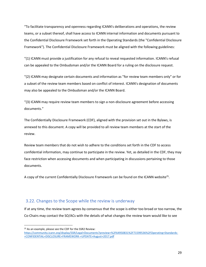"To facilitate transparency and openness regarding ICANN's deliberations and operations, the review teams, or a subset thereof, shall have access to ICANN internal information and documents pursuant to the Confidential Disclosure Framework set forth in the Operating Standards (the "Confidential Disclosure Framework"). The Confidential Disclosure Framework must be aligned with the following guidelines:

"(1) ICANN must provide a justification for any refusal to reveal requested information. ICANN's refusal can be appealed to the Ombudsman and/or the ICANN Board for a ruling on the disclosure request.

"(2) ICANN may designate certain documents and information as "for review team members only" or for a subset of the review team members based on conflict of interest. ICANN's designation of documents may also be appealed to the Ombudsman and/or the ICANN Board.

"(3) ICANN may require review team members to sign a non-disclosure agreement before accessing documents."

The Confidentially Disclosure Framework (CDF), aligned with the provision set out in the Bylaws, is annexed to this document. A copy will be provided to all review team members at the start of the review.

Review team members that do not wish to adhere to the conditions set forth in the CDF to access confidential information, may continue to participate in the review. Yet, as detailed in the CDF, they may face restriction when accessing documents and when participating in discussions pertaining to those documents.

A copy of the current Confidentially Disclosure Framework can be found on the ICANN website<sup>25</sup>.

## <span id="page-28-0"></span>3.22. Changes to the Scope while the review is underway

If at any time, the review team agrees by consensus that the scope is either too broad or too narrow, the Co-Chairs may contact the SO/ACs with the details of what changes the review team would like to see

 $\overline{\phantom{a}}$ 

<sup>25</sup> As an example, please see the CDF for the SSR2 Review:

[https://community.icann.org/display/SSR/Legal+Documents?preview=%2F64950831%2F71599536%2FOperating+Standards-](https://community.icann.org/display/SSR/Legal+Documents?preview=%2F64950831%2F71599536%2FOperating+Standards-+CONFIDENTIAL+DISCLOSURE+FRAMEWORK-+UPDATE+August+2017.pdf) [+CONFIDENTIAL+DISCLOSURE+FRAMEWORK-+UPDATE+August+2017.pdf](https://community.icann.org/display/SSR/Legal+Documents?preview=%2F64950831%2F71599536%2FOperating+Standards-+CONFIDENTIAL+DISCLOSURE+FRAMEWORK-+UPDATE+August+2017.pdf)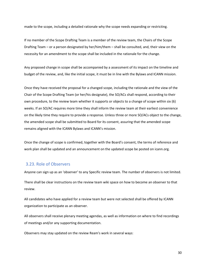made to the scope, including a detailed rationale why the scope needs expanding or restricting.

If no member of the Scope Drafting Team is a member of the review team, the Chairs of the Scope Drafting Team – or a person designated by her/him/them – shall be consulted, and, their view on the necessity for an amendment to the scope shall be included in the rationale for the change.

Any proposed change in scope shall be accompanied by a assessment of its impact on the timeline and budget of the review, and, like the initial scope, it must be in line with the Bylaws and ICANN mission.

Once they have received the proposal for a changed scope, including the rationale and the view of the Chair of the Scope Drafting Team (or her/his designate), the SO/ACs shall respond, according to their own procedure, to the review team whether it supports or objects to a change of scope within six (6) weeks. If an SO/AC requires more time they shall inform the review team at their earliest convenience on the likely time they require to provide a response. Unless three or more SO/ACs object to the change, the amended scope shall be submitted to Board for its consent, assuring that the amended scope remains aligned with the ICANN Bylaws and ICANN's mission.

Once the change of scope is confirmed, together with the Board's consent, the terms of reference and work plan shall be updated and an announcement on the updated scope be posted on icann.org.

## <span id="page-29-0"></span>3.23. Role of Observers

Anyone can sign up as an 'observer' to any Specific review team. The number of observers is not limited.

There shall be clear instructions on the review team wiki space on how to become an observer to that review.

All candidates who have applied for a review team but were not selected shall be offered by ICANN organization to participate as an observer.

All observers shall receive plenary meeting agendas, as well as information on where to find recordings of meetings and/or any supporting documentation.

Observers may stay updated on the review Ream's work in several ways: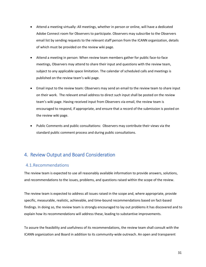- Attend a meeting virtually: All meetings, whether in person or online, will have a dedicated Adobe Connect room for Observers to participate. Observers may subscribe to the Observers email list by sending requests to the relevant staff person from the ICANN organization, details of which must be provided on the review wiki page.
- Attend a meeting in person: When review team members gather for public face-to-face meetings, Observers may attend to share their input and questions with the review team, subject to any applicable space limitation. The calendar of scheduled calls and meetings is published on the review team's wiki page.
- Email input to the review team: Observers may send an email to the review team to share input on their work. The relevant email address to direct such input shall be posted on the review team's wiki page. Having received input from Observers via email, the review team is encouraged to respond, if appropriate, and ensure that a record of the submission is posted on the review wiki page.
- Public Comments and public consultations: Observers may contribute their views via the standard public comment process and during public consultations.

## <span id="page-30-0"></span>4. Review Output and Board Consideration

## <span id="page-30-1"></span>4.1.Recommendations

The review team is expected to use all reasonably available information to provide answers, solutions, and recommendations to the issues, problems, and questions raised within the scope of the review.

The review team is expected to address all issues raised in the scope and, where appropriate, provide specific, measurable, realistic, achievable, and time-bound recommendations based on fact-based findings. In doing so, the review team is strongly encouraged to lay out problems it has discovered and to explain how its recommendations will address these, leading to substantive improvements.

To assure the feasibility and usefulness of its recommendations, the review team shall consult with the ICANN organization and Board in addition to its community-wide outreach. An open and transparent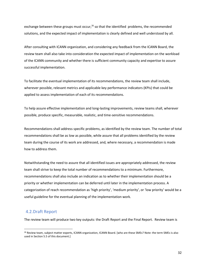exchange between these groups must occur,<sup>26</sup> so that the identified problems, the recommended solutions, and the expected impact of implementation is clearly defined and well understood by all.

After consulting with ICANN organization, and considering any feedback from the ICANN Board, the review team shall also take into consideration the expected impact of implementation on the workload of the ICANN community and whether there is sufficient community capacity and expertise to assure successful implementation.

To facilitate the eventual implementation of its recommendations, the review team shall include, wherever possible, relevant metrics and applicable key performance indicators (KPIs) that could be applied to assess implementation of each of its recommendations.

To help assure effective implementation and long-lasting improvements, review teams shall, wherever possible, produce specific, measurable, realistic, and time-sensitive recommendations.

Recommendations shall address specific problems, as identified by the review team. The number of total recommendations shall be as low as possible, while assure that all problems identified by the review team during the course of its work are addressed, and, where necessary, a recommendation is made how to address them.

Notwithstanding the need to assure that all identified issues are appropriately addressed, the review team shall strive to keep the total number of recommendations to a minimum. Furthermore, recommendations shall also include an indication as to whether their implementation should be a priority or whether implementation can be deferred until later in the implementation process. A categorization of reach recommendation as 'high priority', 'medium priority', or 'low priority' would be a useful guideline for the eventual planning of the implementation work.

## <span id="page-31-0"></span>4.2.Draft Report

 $\overline{a}$ 

The review team will produce two key outputs: the Draft Report and the Final Report. Review team is

<sup>&</sup>lt;sup>26</sup> Review team, subject matter experts, ICANN organization, ICANN Board. [who are these SMEs? Note: the term SMEs is also used in Section 5.5 of this document.]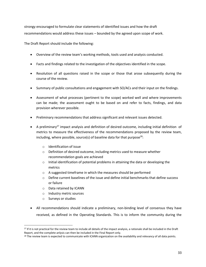strongy encouraged to formulate clear statements of identified issues and how the draft recommendations would address these issues – bounded by the agreed upon scope of work.

The Draft Report should include the following:

- Overview of the review team's working methods, tools used and analysis conducted.
- Facts and findings related to the investigation of the objectives identified in the scope.
- Resolution of all questions raised in the scope or those that arose subsequently during the course of the review.
- Summary of public consultations and engagement with SO/ACs and their input on the findings.
- Assessment of what processes (pertinent to the scope) worked well and where improvements can be made; the assessment ought to be based on and refer to facts, findings, and data provision wherever possible.
- Preliminary recommendations that address significant and relevant issues detected.
- A preliminary<sup>27</sup> impact analysis and definition of desired outcome, including initial definition of metrics to measure the effectiveness of the recommendations proposed by the review team, including, where possible, source(s) of baseline data for that purpose<sup>28</sup>:
	- o Identification of issue
	- o Definition of desired outcome, including metrics used to measure whether recommendation goals are achieved
	- $\circ$  Initial identification of potential problems in attaining the data or developing the metrics
	- o A suggested timeframe in which the measures should be performed
	- $\circ$  Define current baselines of the issue and define initial benchmarks that define success or failure
	- o Data retained by ICANN
	- o Industry metric sources
	- o Surveys or studies

 $\overline{\phantom{a}}$ 

• All recommendations should indicate a preliminary, non-binding level of consensus they have received, as defined in the Operating Standards. This is to inform the community during the

<sup>&</sup>lt;sup>27</sup> If it is not practical for the review team to include all details of the impact analysis, a rationale shall be included in the Draft Report, and the complete anlysis can then be included in the Final Report only.

<sup>&</sup>lt;sup>28</sup> The review team is expected to communicate with ICANN organization on the availability and relevancy of all data points.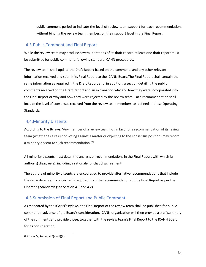public comment period to indicate the level of review team support for each recommendation, without binding the review team members on their support level in the Final Report.

#### <span id="page-33-0"></span>4.3.Public Comment and Final Report

While the review team may produce several iterations of its draft report, at least one draft report must be submitted for public comment, following standard ICANN procedures.

The review team shall update the Draft Report based on the comments and any other relevant information received and submit its Final Report to the ICANN Board.The Final Report shall contain the same information as required in the Draft Report and, in addition, a section detailing the public comments received on the Draft Report and an explanation why and how they were incorporated into the Final Report or why and how they were rejected by the review team. Each recommendation shall include the level of consensus received from the review team members, as defined in these Operating Standards.

## <span id="page-33-1"></span>4.4.Minority Dissents

According to the Bylaws, 'Any member of a review team not in favor of a recommendation of its review team (whether as a result of voting against a matter or objecting to the consensus position) may record a minority dissent to such recommendation.<sup>'29</sup>

All minority dissents must detail the analysis or recommendations in the Final Report with which its author(s) disagree(s), including a rationale for that disagreement.

The authors of minority dissents are encouraged to provide alternative recommendations that include the same details and context as is required from the recommendations in the Final Report as per the Operating Standards (see Section [4.1](#page-30-1) and [4.2\)](#page-31-0).

## <span id="page-33-2"></span>4.5.Submission of Final Report and Public Comment

As mandated by the ICANN's Bylaws, the Final Report of the review team shall be published for public comment in advance of the Board's consideration. ICANN organization will then provide a staff summary of the comments and provide those, together with the review team's Final Report to the ICANN Board for its consideration.

 $\overline{\phantom{a}}$ 

<sup>29</sup> Article IV, Section 4.6(a)(vii)(A).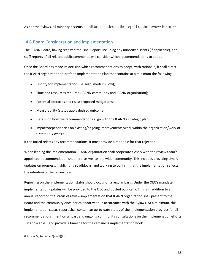As per the Bylaws, all minority dissents 'shall be included in the report of the review team.<sup>'30</sup>

## <span id="page-34-0"></span>4.6.Board Consideration and Implementation

The ICANN Board, having received the Final Report, including any minority dissents (if applicable), and staff reports of all related public comments, will consider which recommendations to adopt.

Once the Board has made its decision which recommendations to adopt, with rationale, it shall direct the ICANN organization to draft an Implementation Plan that contains at a minimum the following:

- Priority for implementation (i.e. high, medium, low);
- Time and resources required (ICANN community and ICANN organization);
- Potential obstacles and risks; proposed mitigations;
- Measurability (status quo v desired outcome);
- Details on how the recommendations align with the ICANN's strategic plan;
- Impact/dependencies on existing/ongoing improvements/work within the organization/work of community groups;

If the Board rejects any recommendations, it must provide a rationale for that rejection.

When leading the implementation, ICANN organization shall cooperate closely with the review team's appointed 'recommendation shepherd' as well as the wider community. This includes providing timely updates on progress, highlighting roadblocks, and working to confirm that the implementation reflects the intention of the review team.

Reporting on the implementation status should occur on a regular basis. Under the OEC's mandate, implementation updates will be provided to the OEC and posted publically. This is in addition to an annual report on the status of review implementation that ICANN organization shall present to the Board and the community once per calendar year, in accordance with the Bylaws. At a minimum, this implementation status report shall contain an up-to-date status of the implementation progress for all recommendations, mention all past and ongoing community consultations on the implemenation efforts – if applicable – and provide a timeline for the remaining implementation work.

 $\overline{\phantom{a}}$ 

<sup>30</sup> Article IV, Section 4.6(a)(vii)(A).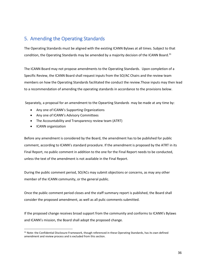## <span id="page-35-0"></span>5. Amending the Operating Standards

The Operating Standards must be aligned with the existing ICANN Bylaws at all times. Subject to that condition, the Operating Standards may be amended by a majority decision of the ICANN Board.<sup>31</sup>

The ICANN Board may not propose amendments to the Operating Standards. Upon completion of a Specific Review, the ICANN Board shall request inputs from the SO/AC Chairs and the review team members on how the Operating Standards facilitated the conduct the review.Those inputs may then lead to a recommendation of amending the operating standards in accordance to the provisions below.

Separately, a proposal for an amendment to the Opearting Standards may be made at any time by:

- Any one of ICANN's Supporting Organizations
- Any one of ICANN's Advisory Committees
- The Accountability and Transparency review team (ATRT)
- ICANN organization

 $\overline{a}$ 

Before any amendment is considered by the Board, the amendment has to be published for public comment, according to ICANN's standard procedure. If the amendment is proposed by the ATRT in its Final Report, no public comment in addition to the one for the Final Report needs to be conducted, unless the text of the amendment is not available in the Final Report.

During the public comment period, SO/ACs may submit objections or concerns, as may any other member of the ICANN community, or the general public.

Once the public comment period closes and the staff summary report is published, the Board shall consider the proposed amendment, as well as all pulic comments submitted.

If the proposed change receives broad support from the community and conforms to ICANN's Bylaws and ICANN's mission, the Board shall adopt the proposed change.

<sup>&</sup>lt;sup>31</sup> Note: the Confidential Disclosure Framework, though referenced in these Operating Standards, has its own defined amendment and review process and is excluded from this section.